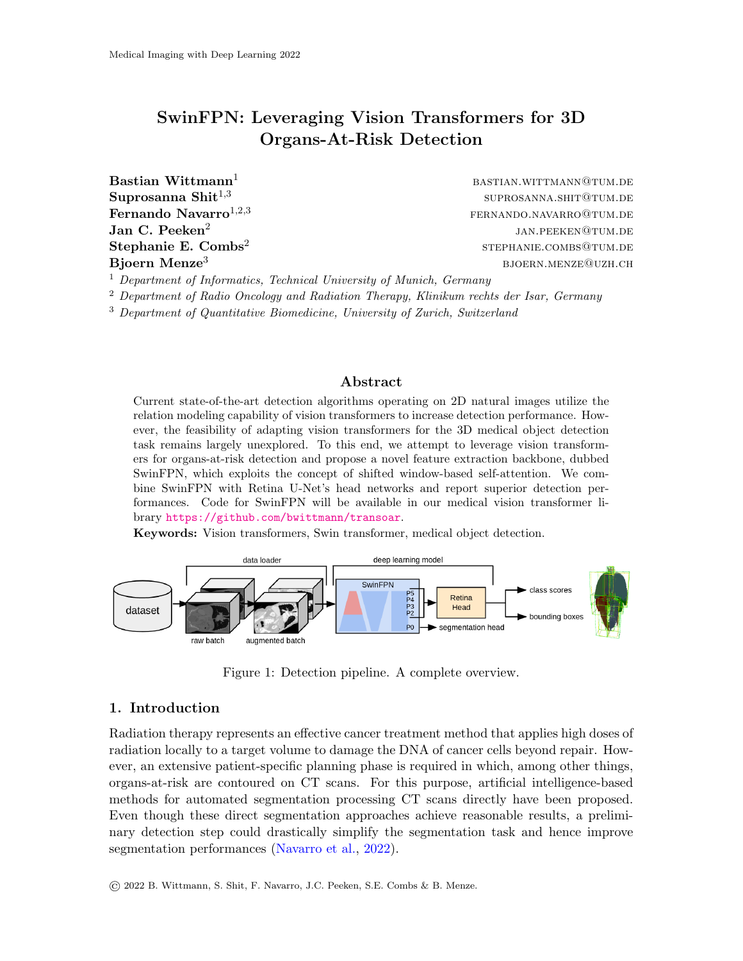# SwinFPN: Leveraging Vision Transformers for 3D Organs-At-Risk Detection

**Bastian Wittmann**<sup>1</sup> bastian.wittmann<sup>1</sup> bastian.wittmann<sup>1</sup> Suprosanna Shit $^{1,3}$ Jan C. Peeken $2$ Stephanie E. Combs<sup>2</sup>

suprosanna.shit@tum.de  $\textbf{Fernando Navarro}^{1,2,3}$  fernando Navarro<sup>1,2,3</sup> jan.peeken@tum.de stephanie.combs@tum.de Bjoern Menze<sup>3</sup> bjoern.menze beste beste beste beste beste beste beste beste beste beste beste beste beste best

 $1$  Department of Informatics, Technical University of Munich, Germany

<sup>2</sup> Department of Radio Oncology and Radiation Therapy, Klinikum rechts der Isar, Germany

<sup>3</sup> Department of Quantitative Biomedicine, University of Zurich, Switzerland

#### Abstract

Current state-of-the-art detection algorithms operating on 2D natural images utilize the relation modeling capability of vision transformers to increase detection performance. However, the feasibility of adapting vision transformers for the 3D medical object detection task remains largely unexplored. To this end, we attempt to leverage vision transformers for organs-at-risk detection and propose a novel feature extraction backbone, dubbed SwinFPN, which exploits the concept of shifted window-based self-attention. We combine SwinFPN with Retina U-Net's head networks and report superior detection performances. Code for SwinFPN will be available in our medical vision transformer library <https://github.com/bwittmann/transoar>.

Keywords: Vision transformers, Swin transformer, medical object detection.



<span id="page-0-0"></span>Figure 1: Detection pipeline. A complete overview.

# 1. Introduction

Radiation therapy represents an effective cancer treatment method that applies high doses of radiation locally to a target volume to damage the DNA of cancer cells beyond repair. However, an extensive patient-specific planning phase is required in which, among other things, organs-at-risk are contoured on CT scans. For this purpose, artificial intelligence-based methods for automated segmentation processing CT scans directly have been proposed. Even though these direct segmentation approaches achieve reasonable results, a preliminary detection step could drastically simplify the segmentation task and hence improve segmentation performances [\(Navarro et al.,](#page-2-0) [2022\)](#page-2-0).

© 2022 B. Wittmann, S. Shit, F. Navarro, J.C. Peeken, S.E. Combs & B. Menze.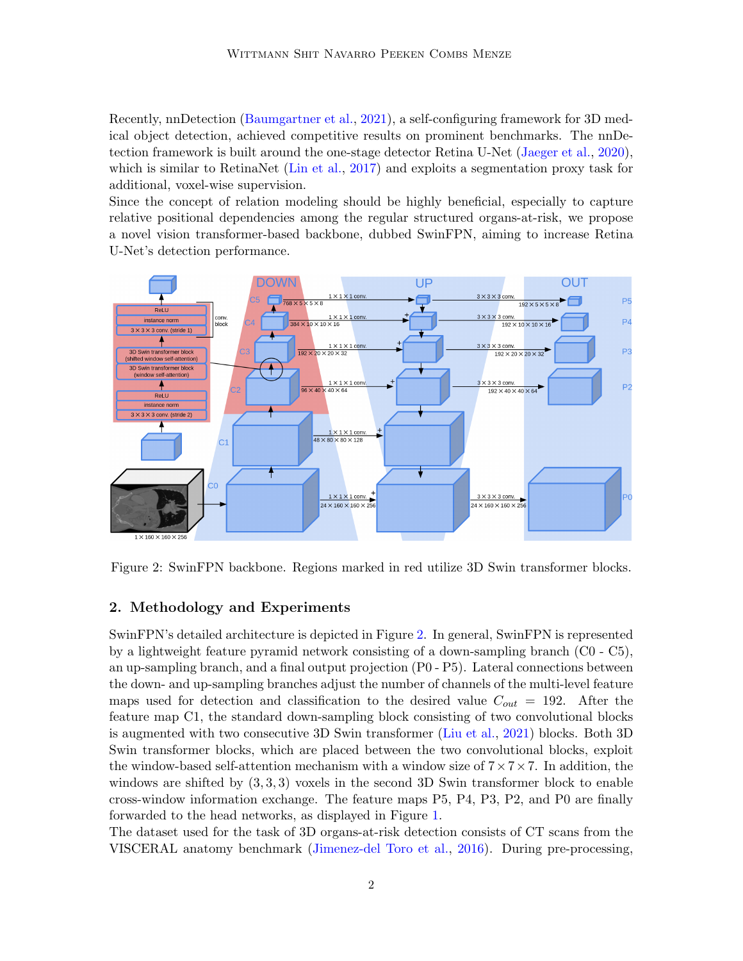Recently, nnDetection [\(Baumgartner et al.,](#page-2-1) [2021\)](#page-2-1), a self-configuring framework for 3D medical object detection, achieved competitive results on prominent benchmarks. The nnDetection framework is built around the one-stage detector Retina U-Net [\(Jaeger et al.,](#page-2-2) [2020\)](#page-2-2), which is similar to RetinaNet [\(Lin et al.,](#page-2-3) [2017\)](#page-2-3) and exploits a segmentation proxy task for additional, voxel-wise supervision.

Since the concept of relation modeling should be highly beneficial, especially to capture relative positional dependencies among the regular structured organs-at-risk, we propose a novel vision transformer-based backbone, dubbed SwinFPN, aiming to increase Retina U-Net's detection performance.



<span id="page-1-0"></span>Figure 2: SwinFPN backbone. Regions marked in red utilize 3D Swin transformer blocks.

### 2. Methodology and Experiments

SwinFPN's detailed architecture is depicted in Figure [2.](#page-1-0) In general, SwinFPN is represented by a lightweight feature pyramid network consisting of a down-sampling branch (C0 - C5), an up-sampling branch, and a final output projection (P0 - P5). Lateral connections between the down- and up-sampling branches adjust the number of channels of the multi-level feature maps used for detection and classification to the desired value  $C_{out} = 192$ . After the feature map C1, the standard down-sampling block consisting of two convolutional blocks is augmented with two consecutive 3D Swin transformer [\(Liu et al.,](#page-2-4) [2021\)](#page-2-4) blocks. Both 3D Swin transformer blocks, which are placed between the two convolutional blocks, exploit the window-based self-attention mechanism with a window size of  $7 \times 7 \times 7$ . In addition, the windows are shifted by  $(3,3,3)$  voxels in the second 3D Swin transformer block to enable cross-window information exchange. The feature maps P5, P4, P3, P2, and P0 are finally forwarded to the head networks, as displayed in Figure [1.](#page-0-0)

The dataset used for the task of 3D organs-at-risk detection consists of CT scans from the VISCERAL anatomy benchmark [\(Jimenez-del Toro et al.,](#page-2-5) [2016\)](#page-2-5). During pre-processing,